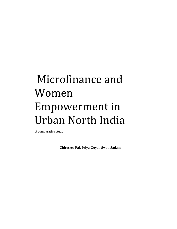# Microfinance and Women Empowerment in Urban North India

A comparative study

**Chirasree Pal, Priya Goyal, Swati Sadana**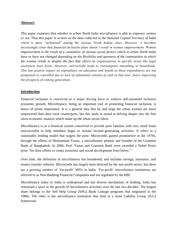#### **Abstract:**

*This paper examines that whether in urban North India microfinance is able to empower women or not. Thus this paper is written on the data collected in the National Capital Territory of India which is most "urbanised" among the various North Indian cities. However, it becomes increasingly clear that financial inclusion alone doesn't result in women empowerment. Women empowerment is the result of a cumulative of various social factors which in urban North India have or have not changed depending on the flexibility and openness of the communities in which the women reside in despite the fact that efforts by organisations in specific areas like legal awareness bore fruits. However, microcredit leads to consumption smoothing in households. This has positive impact on expenditure on education and health as these expenditures are not postponed or cancelled due to lack of substantial amount of cash at that time ,hence improving the prospects of coming generation.*

# **Introduction**

Financial inclusion is conceived as a major driving force to achieve self-sustained inclusive economic growth. Microfinance, being an important tool of promoting financial inclusion, is hence of prime importance. It is a general idea that by and large the urban women are more empowered than their rural counterparts, but this study is aimed at delving deeper into the fine socio-economic nuances which make up the urban social fabric.

Microfinance is as a financial system conceived to provide poor families with very small loans (microcredit) to help members begin or sustain income-generating activities. It refers to a sustainable lending model that targets the poor. Microcredit gained prominence in the 1970s, through the efforts of Mohammad Yunus, a microfinance pioneer and founder of the Grameen Bank of Bangladesh. In 2006, Prof. Yunus and Grameen Bank were awarded a Nobel Peace prize "for their efforts to create economic and social development from below."

Over time, the definition of microfinance has broadened, and includes savings, insurance, and money transfer vehicles. Microcredit has largely been directed by the non-profit sector, but there are a growing number of 'for-profit' MFIs in India. 'For-profit' microfinance institutions are referred to as Non-Banking Financial Companies and are regulated by the RBI.

Microfinance today in India is widespread and has diverse mechanism of lending. India has witnessed a spurt in the growth of microfinance activities over the last two decades. The largest share belongs to the Self Help Group (SHG) Bank Linkage programs that originated in the 1980s. The other is the microfinance institution that lend in a Joint Liability Group (JLG) framework.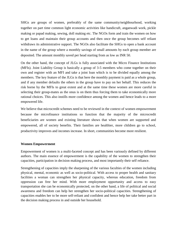SHGs are groups of women, preferably of the same community/neighbourhood, working together on part time common light economic activities like handicraft, anganwadi work, pickle making or papad making, sewing, doll making etc. The NGOs form and train the women on how to get loans and maintain their group accounts and then once the group becomes self reliant withdraws its administrative support. The NGOs also facilitate the SHGs to open a bank account in the name of the group where a monthly savings of small amounts by each group member are deposited. The amount monthly saved per head starting from as low as INR 50.

On the other hand, the concept of JLGs is fully associated with the Micro Finance Institutions (MFIs). Joint Liability Group is basically a group of 3-5 members who come together on their own and register with an MFI and take a joint loan which is to be divided equally among the members. The key feature of the JLGs is that here the monthly payment is paid as a whole group, and if any member defaults the others in the group have to pay on her behalf. This reduces the risk borne by the MFIs to great extent and at the same time these women are more careful in selecting their group-mates as the onus is on them thus forcing them to take economically more rational choices. This also instills more confidence among the women and hence leads to a more empowered life.

We believe that microcredit schemes need to be reviewed in the context of women empowerment because the microfinance institutions so function that the majority of the microcredit beneficiaries are women and existing literature shows that when women are supported and empowered, all of society benefits. Their families are healthier, more children go to school, productivity improves and incomes increase. In short, communities become more resilient.

# **Women Empowerment**

Empowerment of women is a multi-faceted concept and has been variously defined by different authors. The main essence of empowerment is the capability of the women to strengthen their capacities, participation in decision making process, and most importantly their self reliance.

Strengthening of capacities imply the sharpening of the various faculties of the women including physical, mental, economic as well as socio-political. With access to proper health and sanitary facilities a woman can strengthen her physical capacity, whereas education, freedom from oppression can free her mind. With more employment opportunity and access to easy transportation she can be economically protected, on the other hand, a life of political and social awareness and freedom can help her strengthen her socio-political capacities. Strengthening of capacities enables her to be more self-reliant and confident and hence help her take better part in the decision making process in and outside her household.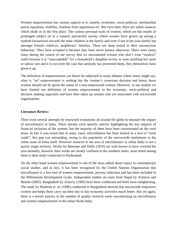Women empowerment has various aspects to it, namely, economic, socio-political, interfamilial power equations, mobility, freedom from oppression etc. But even then, there are subtle nuances which elude us in the first place. The various personal traits of women, which are but results of prolonged subject on to a staunch patriarchal society where women have grown up seeing a marked favouritism towards the male children in the family and even if not in her own family but amongst friends, relatives, neighbours' families. These are deep seated in their unconscious behaviour. They have accepted it because they have never known otherwise. There were many times during the course of our survey that we encountered women who don't wear "modern" outfit because it is "unacceptable" for a household's daughter-in-law to wear anything but saree or salwar suit and it is not even the case that anybody has prevented them, they themselves have given it up.

The definition of empowerment can hence be subjected to many debates where many might say, what is "un"-empowerment is nothing but the women's conscious decision and hence those women should not be given the status of a non-empowered woman. However, in our studies we have limited our definition of women empowerment to the economic, socio-political and decision making capacities and have then taken up women who are associated with microcredit organisations.

#### **Literature Review:**

There exist several attempts by renowned economists all around the globe to measure the impact of microfinance in India. There already exist specific articles highlighting the key impacts of financial inclusion of the women, but the majority of them have been concentrated on the rural areas. In fact it was noted that in many cases, microfinance has been treated as a tool of "rural credit", this gap was astounding, owing to the popularity of the microcredit institutions in the urban areas of India itself. However research in the area of microfinance in urban India is not a purely virgin territory. Works by Banerjee and Duflo (2010) are well known to have covered the area minutely, however their works are mostly confined to the southern states, most noted among them is their study conducted in Hyderabad.

On the other hand women empowerment is one of the most talked about topics in contemporary social studies, and in fact, it has been recognised by the United Nations Organisation that microfinance is a key tool of women empowerment, poverty reduction and has been included in the Millennium Development Goals. Independent studies on cases from Nepal by Acharya and Bennet (2003), Bangladesh by Ackerly (1983) have been conducted and been most enlightening. The study by Hashemi et. al. (1996) conducted in Bangladesh showed that microcredit empowers women and helps them carry out their day to day economic activities much better. But yet again, there is a severe paucity in the number of quality research work concentrating on microfinance and women empowerment in the urban North India.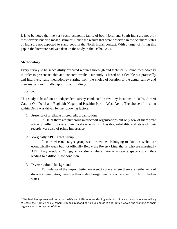It is to be noted that the very socio-economic fabric of both North and South India are not only most diverse but also most dissimilar. Hence the results that were observed in the Southern states of India are not expected to stand good in the North Indian context. With a target of filling this gap in the literature had we taken up the study in the Delhi, NCR.

#### **Methodology:**

Every survey to be successfully executed requires thorough and technically sound methodology in order to present reliable and concrete results. Our study is based on a flexible but practically and intuitively valid methodology starting from the choice of location to the actual survey and then analysis and finally reporting our findings.

#### Location:

 $\overline{\phantom{a}}$ 

This study is based on an independent survey conducted in two key locations in Delhi, Ajmeri Gate in Old Delhi and Raghubir Nagar and Paschim Puri in West Delhi. The choice of location within Delhi was driven by the following factors:

1. Presence of a reliable microcredit organisations

In Delhi there are numerous microcredit organisations but only few of them were actively willing to share their database with us.<sup>1</sup> Besides, reliability and state of their records were also of prime importance.

2. Marginally APL Target Group

Income wise our target group was the women belonging to families which are economically weak but not officially Below the Poverty Line, that is who are marginally APL. They reside in "jhuggi"-s or slums where there is a severe space crunch thus leading to a difficult life condition.

3. Diverse cultural background

To understand the impact better we went to place where there are settlements of diverse communities, based on their state of origin, majorly on women from North Indian states.

 $1$  We had first approached numerous NGOs and MFIs who are dealing with microfinance, only some were willing to share their details while others stopped responding to our enquiries and details about the working of their organisation after a point of time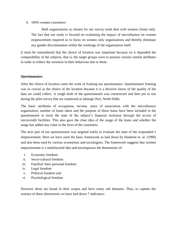4. 100% women customers:

Both organisations as chosen for our survey work deal with women clients only. The fact that our study is focused on evaluating the impact of microfinance on women empowerment required us to focus on women only organisations and thereby eliminate any gender discrimination within the workings of the organisation itself.

It must be remembered that the choice of location was important because on it depended the comparability of the subjects, that is, the target groups were to possess various similar attributes in order to reduce the variation in their behaviour due to them.

#### **Questionnaire:**

After the choice of location came the work of framing our questionnaire. Questionnaire framing was as crucial as the choice of the location because it is a decisive factor of the quality of the data we could collect. A rough draft of the questionnaire was constructed and then put to test during the pilot survey that we conducted at Jahangir Puri, North Delhi.

The basic attributes of occupation, income, years of association with the microfinance organisation, number of loans taken and the purpose of those loans have been included in the questionnaire to track the state of the subject's financial inclusion through the access of microcredit facilities. This also gave the clear idea of the usage of the loans and whether the usage has added any value to the lives of the customers.

The next part of our questionnaire was targeted solely to evaluate the state of the respondent's empowerment. Here we have used the basic framework as laid down by Hashemi et. al. (1996) and also been used by various economists and sociologists. The framework suggests that women empowerment is a multifaceted idea and encompasses the dimensions of:

- i. Economic freedom
- ii. Socio-cultural freedom
- iii. Familial/ Inter-personal freedom
- iv. Legal freedom
- v. Political freedom and
- vi. Psychological freedom

However these are broad in their scopes and have many sub domains. Thus, to capture the essence of these dimensions we have laid down 7 indicators: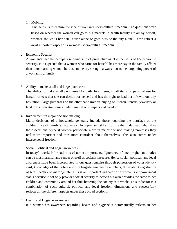# 1. Mobility:

This helps us to capture the idea of woman's socio-cultural freedom. The questions were based on whether the women can go to big markets; a health facility etc all by herself, whether she visits her natal house alone or goes outside the city alone. These reflect a most important aspect of a woman's socio-cultural freedom.

### 2. Economic Security:

A woman's income, occupation, ownership of productive asset is the basis of her economic security. It is expected that a woman who earns for herself, has more say in the family affairs than a non-earning woman because monetary strength always boosts the bargaining power of a woman in a family.

3. Ability to make small and large purchases:

The ability to make small purchases like daily food items, small items of personal use for herself reflects that she can decide for herself and has the right to lead her life without any hesitation. Large purchases on the other hand involve buying of kitchen utensils, jewellery or land. This indicator comes under familial or interpersonal freedom.

4. Involvement in major decision making:

Major decisions of a household generally include those regarding the marriage of the children, use of family's income etc. In a patriarchal family it is the male head who takes these decisions hence if women participate more in major decision making processes they feel more important and thus more confident about themselves. This also comes under interpersonal freedom.

5. Social, Political and Legal awareness:

In today's world information is of utmost importance. Ignorance of one's rights and duties can be most harmful and render oneself as socially insecure. Hence social, political, and legal awareness have been incorporated in our questionnaire through possession of voter identity card, knowledge of the police and fire brigade emergency numbers, those about registration of birth, death and marriage etc. This is an important indicator of a woman's empowerment status because it not only provides social security to herself but also provides the same to her children and community around her thus bettering the society as a whole. This indicator is a combination of socio-cultural, political and legal freedom dimensions and successfully reflects all the different aspects under these broad sections.

6. Health and Hygiene awareness:

If a woman has awareness regarding health and hygiene it automatically reflects in her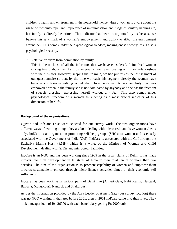children's health and environment in the household, hence when a woman is aware about the usage of mosquito repellant, importance of immuniasation and usage of sanitary napkins etc, her family is directly benefitted. This indicator has been incorporated by us because we believe this is a mark of a woman's empowerment, and ability to affect the environment around her. This comes under the psychological freedom, making oneself worry less is also a psychological security.

7. Relative freedom from domination by family:

This is the trickiest of all the indicators that we have considered. It involved women talking freely about their family's internal affairs, even dealing with their relationships with their in-laws. However, keeping that in mind, we had put this as the last segment of our questionnaire so that, by the time we reach this segment already the women have become comfortable talking about their lives with us. A woman truly becomes empowered when in the family she is not dominated by anybody and she has the freedom of speech, dressing, expressing herself without any fear. This also comes under psychological freedom of a woman thus acting as a most crucial indicator of this dimension of her life.

# **Background of the organisations:**

Ujjivan and IndCare Trust were selected for our survey work. The two organisations have different ways of working though they are both dealing with microcredit and have women clients only. IndCare is an organisation promoting self help groups (SHGs) of women and is closely associated with the Government of India (GoI). IndCare is associated with the GoI through the Rashtriya Mahila Kosh (RMK) which is a wing, of the Ministry of Women and Child Development, dealing with SHGs and microcredit facilities.

IndCare is an NGO and has been working since 1989 in the urban slums of Delhi. It has made inroads into rural development in 10 states of India in their total tenure of more than two decades. The aim of the organisation is to promote capability of women and empower them towards sustainable livelihood through micro-finance activities aimed at their economic self sufficiency.

Indcare has been working in various parts of Delhi like (Ajmeri Gate, Nabi Karim, Hastsaal, Bawana, Mongolpuri, Nangloi, and Shakurpur).

As per the information provided by the Area Leader of Ajmeri Gate (our survey location) there was no NGO working in that area before 2001, then in 2001 IndCare came into their lives. They took a meager loan of Rs. 26000 with each beneficiary getting Rs 2000 only.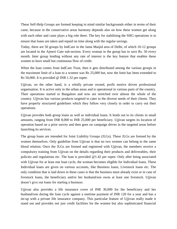These Self-Help Groups are formed keeping in mind similar backgrounds either in terms of their caste, because in the conservative areas harmony depends also on how these women get along with each other and caste plays a big role there. The key for stabilising the SHG operations is to ensure that loans are taken and repaid on time along with the regular savings.

Today, there are 50 groups by IndCare in the Jama Masjid area of Delhi, of which 10-12 groups are located in the Ajmeri Gate sub-section. Every woman in the group has to save Rs. 50 every month. Inter group lending without any rate of interest is the key feature that enables these women to have small but continuous flow of credit.

When the loan comes from IndCare Trust, then it gets distributed among the various groups in the maximum limit of a loan to a women was Rs 25,000 but, now the limit has been extended to Rs 50,000. It is provided @ INR 1.32 per rupee.

Ujjivan, on the other hand, is a wholly private owned, profit motive driven professional organisation. It is active only in the urban areas and is operational in various parts of the country. Their operations started in Bangalore and now are stretched over almost the whole of the country. Ujjivan has various products targeted to cater to the diverse needs of their clients. They have properly structured guidelines which they follow very closely in order to carry out their operations.

Ujjivan provides both group loans as well as individual loans. It lends out to its clients in small amounts, ranging from INR 8,000 to INR 25,000 per beneficiary. Ujjivan targets its location of operation based on a prior survey and then goes on campaign drives in the targeted areas before launching its services.

The group loans are intended for Joint Liability Groups (JLGs). These JLGs are formed by the women themselves. Only guideline from Ujjivan is that no two women can belong to the same blood relation. Once the JLGs are formed and registered with Ujjivan, the members receive a compulsory training from Ujjivan on the details regarding their products and deliverables, their policies and regulations etc. The loan is provided @1.42 per rupee. Only after being associated with Ujjivan for at least one loan cycle, the woman becomes eligible for Individual loans. These Individual loans are given on various accounts, like Business loans, Livestock loans etc. The only condition that is laid down in these cases is that the business must already exist or in case of livestock loans, the beneficiary and/or her husband/son owns at least one livestock. Ujjivan doesn't give out loans for starting a business.

Ujjivan also provides a life insurance cover of INR 30,000 for the beneficiary and her husband/son during the loan cycle against a onetime payment of INR 120 for a year and has a tie-up with a private life insurance company. This particular feature of Ujjivan really made it stand out and provides not just credit facilities for the women but also sophisticated financial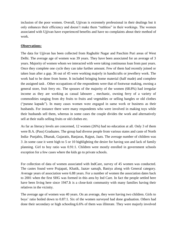inclusion of the poor women. Overall, Ujjivan is extremely professional in their dealings but it only enhances their efficiency and doesn't make them "ruthless" in their workings. The women associated with Ujjivan have experienced benefits and have no complaints about their method of work.

# **Observations:**

The data for Ujjivan has been collected from Raghubir Nagar and Paschim Puri areas of West Delhi. The average age of women was 39 years. They have been associated for an average of 3 years. Majority of women whom we interacted with were taking continuous loan from past years. Once they complete one cycle they can take further amount. Few of them had recently joined or taken loan after a gap. 36 out of 45 were working majorly in handicrafts or jewellery work. The work had to be done from home. It included bringing home material (half made) and complete the assigned task . Other occupations of the respondents were that of footwear making, owning a general store, fruit ferry etc. The spouses of the majority of the women (68.8%) had irregular income as they are working as casual labourer , mechanic, owning ferry of a variety of commodities ranging from dry fruits to fruits and vegetables or selling bangles or old clothes ("purane kapade"). In many cases women were engaged in same work or business as their husbands. For instance there were many respondents who were involved in making toys while their husbands sell them, whereas in some cases the couple divides the work and alternatively sell at their stalls selling fruits or old clothes etc.

As far as literacy levels are concerned, 12 women (26%) had no education at all. Only 3 of them were B.A. (Pass) Graduates. The group had diverse people from various states and caste of North India- Punjabis, Dhanak, Gujaratis, Banjaras, Rajput, Jaats. The average number of children was 3 .In some case it went high to 5 or 10 highlighting the desire for having son and lack of family planning. Girl to boy ratio was 0.91:1. Children were mostly enrolled in government schools exception for a few cases where the kids go to private schools.

For collection of data of women associated with IndCare, survey of 45 women was conducted. The castes found were Prajapati, Khatik, Jaatav samajh, Baniya along with General category. Average years of association were 6.88 years. For a number of women the association dates back to 2001 when the first SHG was formed in this area by Ind Care. In fact the people settled here have been living here since 1947.It is a close-knit community with many families having their relatives in the vicinity.

The average age of women was 40 years. On an average, they were having two children. Girls to boys' ratio boiled down to 0.87:1. Six of the women surveyed had done graduation. Others had done their secondary or high schooling.6.6% of them was illiterate. They were majorly involved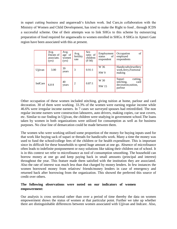in supari cutting business and anganwadi's kitchen work. Ind Care,in collaboration with the Ministry of Women and Child Development, has tried to make the Right to food , through ICDS a successful scheme. One of their attempts was to link SHGs to this scheme by outsourcing preparation of food required for anganwadis to women enrolled in SHGs. 8 SHGs in Ajmeri Gate region have been associated with this at present.

|         | Avg.<br>Duratn of<br>associatn.<br>(yrs) | Avg.<br>age of<br>women<br>(yrs) | Avg.<br>fertility<br>rate | <b>Sex</b><br>ratio of<br>children<br>(F:M) | Employment<br>of<br>status<br>respondent | of<br>Occupation<br>employed<br>respondents                                 |
|---------|------------------------------------------|----------------------------------|---------------------------|---------------------------------------------|------------------------------------------|-----------------------------------------------------------------------------|
| Ujjivan | 3.00                                     | 39<br>years                      | 3                         | 0.91:1                                      | W 36<br><b>NW9</b>                       | <b>HandicraftsJewellery</b><br>work, ferry, Footwear<br>making              |
| IndCare | 6.88                                     | 40<br>years                      | $\overline{2}$            | 0.87:1                                      | W 30<br><b>NW</b> 15                     | Supari<br>cutting,<br>stitching,<br>card<br>decoration, tuition,<br>parlour |

Other occupation of these women included stitching, giving tuition at home, parlour and card decoration. 30 of them were working. 33.3% of the women were earning regular income while 46.6% were irregular income earners. In 7 cases we surveyed spouses had retired/died. The non regular income earners were construction labourers, auto drivers, making copies, car seat covers, etc. Similar to our finding in Ujjivan, the children were studying in government school.The loans taken by women in both organizations were utilized for consumption as well as for business purposes. No clear line of demarcation could be made between them.

The women who were working utilised some proportion of the money for buying inputs used for that work like buying sack of supari or threads for handicrafts work. Many a time the money was used to fund the school/college fees of the children or for health expenditure. This is important since its difficult for these households to spend huge amount at one go. Absence of microfinance often leads to indefinite postponement or easy solutions like taking their children out of school. It is in this context we refer to microfinance as tool of consumption smoothing. The household can borrow money at one go and keep paying back in small amounts (principal and interest) throughout the year. This feature made them satisfied with the institution they are associated. Also the rate of interest was much less than that charged by money lenders. In few instances the women borrowed money from relatives/ friends/money lenders in case of emergency and returned back after borrowing from the organization. This showed the preferred this source of credit over others.

# **The following observations were noted on our indicators of women empowerment:**

Our analysis is cross sectional rather than over a period of time thereby the data on women empowerment shows the status of women at that particular point. Further we take up whether there are distinguishable differences between women associated with Ujjivan and Indcare. Also,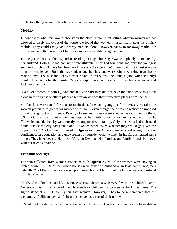the factors that govern the link between microfinance and women empowerment.

# **Mobility:**

In contrast to what one would observe in the North Indian rural setting wherein women are not allowed to freely move out of the house, we found that women in urban slum areas were fairly mobile. They could easily visit nearby markets alone. However, visits to far away market are always taken in the presence of family members or neighbouring women.

In one particular case the respondent residing in Raghubir Nagar was completely dominated by her husband. Both husband and wife were illiterate. They had four sons and only the youngest son goes to school. Others had been working since they were 15-16 years old. The eldest son was mentally challenged. Both the respondent and her husband were jointly working from home making toys. The husband keeps a track of her in every task including buying when she buys regular food items for the family. Years of suppression were evident in her body language and facial expressions.

4.4 % of women in both Ujjivan and IndCare said they did not have the confidence to go out alone in the city especially to places a bit far away from their respective places of residence.

Similar data were found for visit to medical facilities and going out for movies. Generally the women preferred to go out for movies with family even though there was no restriction imposed on them to go out with friends. Paucity of time and money were another reasons cited by them. 5% of total had said about restrictions imposed by family to go out for movies, etc with friends. The visits outside the city were mostly accompanied with family. Only those who had their natal home outside the city had gone alone. However, when asked whether they would go given the opportunity 26% of women surveyed in Ujjivan said yes. Others were reluctant owing to lack of confidence, less education and unawareness of outside world. Women in IndCare reiterated same things. They have been to Haridwar, Vaishno Devi etc with families and family friends but never with her friends or alone .

# **Economic security:**

For data collected from women associated with Ujjivan 23.8% of the women were staying in rented house. 68.75% of the owned houses were either on husband or in laws name. In Ajmeri gate, 46.5% of the women were staying in rented house. Majority of the houses were on husband or in laws name.

27.5% of the families had life insurance or fixed deposits with very few in the subject's name. Generally it is in the name of their husbands or children for women in the Ujjivan area. The figure stood at 23.25% for Ajmeri gate women. However, it has to be remembered that the customers of Ujjivan have a life insurance cover as a part of their policy.

90% of the households owned the ration cards. Those who does not own one has not been able to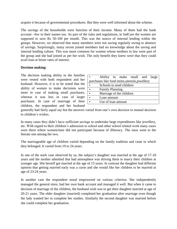acquire it because of governmental procedures. But they were well informed about the scheme.

The savings of the households were function of their income. Many of them had the bank account –few in their names too. As part of the rules and regulations, in IndCare the women are supposed to save Rs 50-100 per month. This was the source of internal lending within the groups. However, we observed that many members were not saving regularly owing to absence of savings. Surprisingly, many recent joined members had no knowledge about the saving and internal lending culture. This was more common for women whose mothers in law were part of the group and she had joined as per her wish. The only benefit they knew were that they could avail loan at lesser rates of interest.

#### **Decision making:**

The decision making ability in the families were vested with both respondent and her husband. However, it is to be noted that the ability of women to make decisions were more in case of making small purchases, whereas it was less in case of larger purchases. In case of marriage of their children, the respondent and her husband

|  | <b>Family Planning</b><br>Loan amount<br>Use of loan amount | Schools to send children<br>Marriage of the children | Ability to make small and large<br>purchases like food items, utensils, jewellery |
|--|-------------------------------------------------------------|------------------------------------------------------|-----------------------------------------------------------------------------------|

generally had fairly equal say but the answers varied from one's own decision to mutual decision to children's wishes.

In many cases they didn't have sufficient savings to undertake large expenditures like jewellery, etc. With regard to their children's admission to school and other school related work many cases were there where women/men did not participate because of illiteracy. The onus went to the literate one among the two.

The marriageable age of children varied depending on the family tradition and caste to which they belonged. It varied from 19 to 24 years.

In one of the stark case observed by us, the subject's daughter was married at the age of 17-18 years and the mother admitted that bad atmosphere was driving them to marry their children at younger age. She herself got married at the age of 13 years. In contrast the daughter had different opinion that getting married early was a curse and she would like her children to be married at age of 23-24 years.

In another case the respondent stood empowered on various criterion. She independently managed the general store, had her own bank account and managed it well. But when it came to decision of marriage of the children, the husband wish was to get their daughter married at age of 20-21 years. The elder daughter (married) completed her graduation after marriage even though the lady wanted her to complete her studies. Similarly the second daughter was married before she could complete her graduation.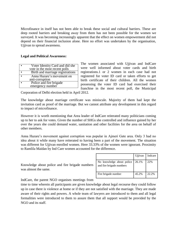Microfinance in itself has not been able to break these social and cultural barriers. These are deep rooted barriers and breaking away from them has not been possible for the women we surveyed. It was becoming increasingly apparent that the effect on women empowerment did not depend on their financial inclusion alone. Here no effort was undertaken by the organisation, Ujjivan to spread awareness.

#### **Legal and Political Awareness:**

| Voter Identity Card and did she  |
|----------------------------------|
| vote in the most recent polls    |
| Birth and marriage registrations |
| Anna Hazare's movement on        |
| anti-corruption                  |
| Police and fire brigade          |
| emergency number                 |

The women associated with Ujjivan and IndCare were well informed about voter cards and birth registrations.1 or 2 women in each case had not registered for voter ID card or taken efforts to get birth certificate of their children. All the women possessing the voter ID card had exercised their franchise in the most recent poll, the Municipal

Corporation of Delhi election held in April 2012.

The knowledge about marriage certificate was miniscule. Majority of them had kept the invitation card as proof of the marriage. But we cannot attribute any development in this regard to impact of microfinance.

However it is worth mentioning that Area leader of IndCare reiterated many politicians coming up to her to ask for votes. Given the number of SHGs she controlled and influence gained by her over the years she could demand water, sanitation and other facilities for the area on behalf of other members.

Anna Hazare's movement against corruption was popular in Ajmeri Gate area. Only 3 had no idea about it while many have reiterated to having been a part of the movement. The situation was different for Ujjivan enrolled women. Here 33.33% of the women were ignorant. Proximity to Ramlila Maidan by Ind Care women accounted for the difference.

|                                                       | Ujjivan | Indcare |
|-------------------------------------------------------|---------|---------|
| No knowledge about police<br>and fire brigade numbers | 26.1%   | 22%     |
| Fire brigade number                                   | 45.2%   | 22.2%   |

Knowledge about police and fire brigade numbers was almost the same.

IndCare, the parent NGO organises meetings from

time to time wherein all participants are given knowledge about legal recourse they could follow up in case there is violence at home or if they are not satisfied with the marriage. They are made aware of their rights and powers. A whole team of lawyers are introduced to them and all legal formalities were introduced to them to assure them that all support would be provided by the NGO and its staff.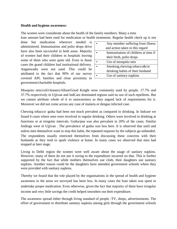#### **Health and hygiene awareness:**

The women were considerate about the health of the family members. Many a time loan amount had been used for medication or health treatments. Regular health check up is not

done but medication wherever needed is administered. Immunisation and polio drops drive have also been successful in both areas. Majority of women had their children in hospitals leaving some of them who were quite old. Even in those cases the grand children had institutional delivery. Anganwadis were not used. This could be attributed to the fact that 90% of our survey covered APL families and close proximity to government/charitable hospitals.

| Any member suffering from illness   |
|-------------------------------------|
| and action taken in this regard     |
| Immunisation of children at time if |
| their birth, polio drops            |
| Use of mosquito nets                |
| Smoking, chewing tobacco&/or        |
| drinking habits of their husband    |
| Use of sanitary napkins             |

Mosquito nets/coil/cleaners/Allout/Good Knight were commonly used by people. 17.7% and 37.7% respectively in Ujjivan and IndCare dominated regions said no use of such repellents. But we cannot attribute whole of it to unawareness as they argued lack of requirements for it. Moreover we did not come across any case of malaria or dengue infected case.

Chewing tobacco/ gutka had been not much prevalent as compared to drinking. In Indcare we found 6 cases where men were involved in regular drinking. Others were involved in drinking at functions or at irregular intervals. Gutka/pan was also prevalent in 20% of the cases. Similar findings were in Ujjivan . The prevalence of gutka was less here. It is observed that until and unless men themselves want to stop this habit, the repeated requests by the subjects go unheeded. The respondents usually restricted themselves from discussing these concerns with their husbands as they tend to spark violence at home. In many cases we observed that men had stopped at later stage.

Living in Delhi region the women were well aware about the usage of sanitary napkins. However, many of them do not use it owing to the expenditure incurred on that. This is further supported by the fact that while mothers themselves use cloth, their daughters use sanitary napkins. Another reason could be the daughters have attended government schools where they were provided with sanitary napkins.

Thereby we found that the role played by the organisations in the spread of health and hygiene awareness in the areas we surveyed has been less. In many cases the loan taken was spent to undertake proper medication. Even otherwise, given the fact that majority of them have irregular income and very little savings the credit helped smoothen out their expenditure.

The awareness spread either through living standard of people -TV, shops, advertisements. The effort of government to distribute sanitary napkins among girls through the government schools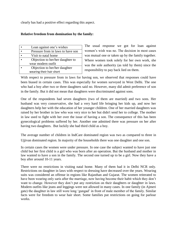clearly has had a positive effect regarding this aspect.

# **Relative freedom from domination by the family:**

| Loan against one's wishes         |
|-----------------------------------|
| Pressure from in laws to have son |
| Visit to natal home               |
| Objection to her/her daughter to  |
| wear modern outfit                |
| Objection to her/her daughter     |
| wearing their hair short          |

The usual response we got for loan against women's wish was no. The decision in most cases was mutual one or taken up by the family together. Where women took solely for her own work, she was the sole authority (as told by them) since the responsibility to pay back lied on them.

With respect to pressure from in laws for having son, we observed that responses could have been biased in certain cases. This was especially for women surveyed in West Delhi. The one who had a boy after two or three daughters said no. However, many did admit preference of son in the family. But it did not mean that daughters were discriminated against sons.

One of the respondents had seven daughters (two of them are married) and two sons. Her husband was very conservative, she had a very hard life bringing her kids up, and now her daughters help her with the education of her younger children. One of her married daughters was raised by her brother in law who was very nice to her but didn't send her to college. The mother in law used to fight with her over the issue of having a son. The consequence of this has been gynecological problems suffered by her. Another one admitted there was pressure on her after having two daughters. But luckily she had third child as a boy.

The average number of children in IndCare dominated region was two as compared to three in Ujjivan dominated region. In majority of the households there was one daughter and one son.

In certain cases the women were under pressure. In one case the subject wanted to have just one child but her first child is a girl who was born after an operation. But the husband and mother in law wanted to have a son in the family. The second one turned up to be a girl. Now they have a boy after around 10-11 years.

There were no restrictions in visiting natal home. Many of them had it in Delhi NCR only. Restrictions on daughter in laws with respect to dressing have decreased over the years. Wearing suits was considered an offense in regions like Rajasthan and Gujarat. The women reiterated to have been wearing only saris after the marriage, now having become their habit which they don't want to change. However they don't put any restriction on their daughters or daughter in laws. Modern outfits like jeans and leggings were not allowed in many cases. In one family (in Ajmeri gate) the daughter in law still wore long 'gungad' in front of male member of the family. Similar facts were for freedom to wear hair short. Some families put restrictions on going for parlour works.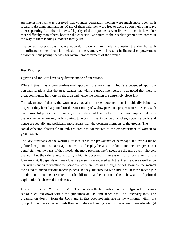An interesting fact was observed that younger generation women were much more open with regard to dressing and haircuts. Many of them said they were free to decide upon their own ways after separating from their in laws. Majority of the respondents who live with their in-laws face more difficulty than others, because the conservative nature of their earlier generations comes in the way of them leading a modern family life.

The general observations that we made during our survey made us question the idea that with microfinance comes financial inclusion of the women, which results in financial empowerment of women, thus paving the way for overall empowerment of the women.

# **Key Findings:**

Ujjivan and IndCare have very diverse mode of operations.

While Ujjivan has a very professional approach the workings in IndCare depended upon the personal relations that the Area Leader has with the group members. It was noted that there is great community harmony in the area and hence the women are extremely close-knit.

The advantage of that is the women are socially more empowered than individually being so. Together they have bargained for the sanctioning of widow pensions, proper water lines etc. with even powerful politicians. However, at the individual level not all of them are empowered, only the women who are regularly coming to work in the Anganwadi kitchen, socialise daily and hence are socially and politically more aware than the dormant members of the groups. The social cohesion observable in IndCare area has contributed to the empowerment of women to great extent.

The key drawback of the working of IndCare is the prevalence of patronage and even a bit of political exploitation. Patronage comes into the play because the loan amounts are given to a beneficiary on the basis of their needs, the more pressing one's needs are the more easily she gets the loan, but then there automatically a bias is observed in the system, of disbursement of the loan amount. It depends on how closely a person is associated with the Area Leader as well as on her judgement as to whether the person's needs are pressing enough or not. Besides, the women are asked to attend various meetings because they are enrolled with IndCare. In these meetings e the dormant members are taken in order fill in the audience seats. This is how a bit of political exploitation is observed in this case.

Ujjivan is a private "for profit" MFI. Their work reflected professionalism. Ujjivan has its own set of rules laid down within the guidelines of RBI and hence has 100% recovery rate. The organisation doesn't form the JLGs and in fact does not interfere in the workings within the group. Ujjivan has constant cash flow and when a loan cycle ends, the women immediately get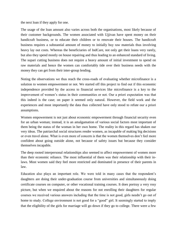the next loan if they apply for one.

The usage of the loan amount also varies across both the organisations, most likely because of their customer backgrounds. The women associated with Ujjivan have spent money on their handicraft business, or to educate their children or to renovate their houses. The handicraft business requires a substantial amount of money to initially buy raw materials thus involving heavy lay out costs. Whereas the beneficiaries of IndCare, not only get their loans very rarely, but also they spend mostly on house repairing and thus leading to an enhanced standard of living. The supari cutting business does not require a heavy amount of initial investment to spend on raw materials and hence the women can comfortably tide over their business needs with the money they can get from their inter-group lending.

Noting the observations we thus reach the cross-roads of evaluating whether microfinance is a solution to women empowerment or not. We started off this project to find out if this economic independence provided by the access to financial services like microfinance is a key to the improvement of women's status in their communities or not. Our a priori expectation was that this indeed is the case; on paper it seemed only natural. However, the field work and the experiences and most importantly the data thus collected have only stood to refute our a priori assumptions.

Women empowerment is not just about economic empowerment through financial security even for an urban woman; instead, it is an amalgamation of various social factors most important of them being the status of the woman in her own home. The reality in this regard has shaken our very ideas. The patriarchal social structures render women, as incapable of making big decisions or even travel alone. What is even more of concern is that the women themselves don't feel more confident about going outside alone, not because of safety issues but because they consider themselves incapable.

The deep rooted interpersonal relationships also seemed to affect empowerment of women more than their economic reliance. The most influential of them was their relationship with their inlaws. Most women said they feel more restricted and dominated in presence of their parents in law.

Education also plays an important role. We were told in many cases that the respondent's daughters are doing their under-graduation course from universities and simultaneously doing certificate courses on computer, or other vocational training courses. It does portray a very rosy picture, but when we enquired about the reasons for not enrolling their daughters for regular courses we received various answers including that the time is not good, girls needn't go out of home to study. College environment is not good for a "good" girl. It seemingly started to imply that the eligibility of the girls for marriage will go down if they go to college. There were a few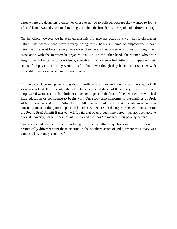cases where the daughters themselves chose to not go to college, because they wanted to join a job and hence wanted vocational trainings, but then the broader picture spoke of a different story.

On the whole however we have noted that microfinance has acted in a way that is circular in nature. The women who were already doing fairly better in terms of empowerment have benefitted the most because they have taken their level of empowerment forward through their association with the microcredit organization. But, on the other hand, the women who were lagging behind in terms of confidence, education; microfinance had little or no impact on their status of empowerment. They were not self-reliant even though they have been associated with the institutions for a considerable amount of time.

Thus we conclude our paper citing that microfinance has not really enhanced the status of all women involved. It has boosted the self reliance and confidence of the already educated or fairly empowered women. It has had little or almost no impact on the lives of the beneficiaries who had little education or confidence to begin with. Our study also conforms to the findings of Prof. Abhijit Banerjee and Prof. Esther Duflo (MIT) which had shown that microfinance helps in consumption smoothing for the poor. In his Plenary Lecture, on the topic "Financial Inclusion for the Poor", Prof. Abhijit Banerjee (MIT), said that even though microcredit has not been able to alleviate poverty, per se, it has definitely enabled the poor "to manage their poverty better"

Our study validates this observation though the socio- cultural equations in the North India are dramatically different from those existing in the Southern states of India, where the survey was conducted by Banerjee and Duflo.